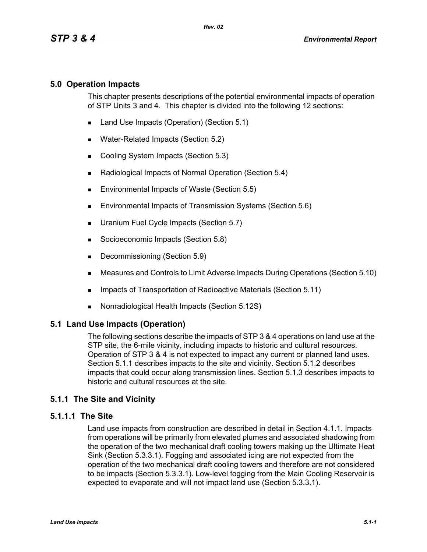## **5.0 Operation Impacts**

This chapter presents descriptions of the potential environmental impacts of operation of STP Units 3 and 4. This chapter is divided into the following 12 sections:

- Land Use Impacts (Operation) (Section 5.1)
- **Water-Related Impacts (Section 5.2)**
- Cooling System Impacts (Section 5.3)
- Radiological Impacts of Normal Operation (Section 5.4)
- **Environmental Impacts of Waste (Section 5.5)**
- **Environmental Impacts of Transmission Systems (Section 5.6)**
- **Uranium Fuel Cycle Impacts (Section 5.7)**
- Socioeconomic Impacts (Section 5.8)
- Decommissioning (Section 5.9)
- Measures and Controls to Limit Adverse Impacts During Operations (Section 5.10)
- **IMPACTER 15 Impacts of Transportation of Radioactive Materials (Section 5.11)**
- Nonradiological Health Impacts (Section 5.12S)

#### **5.1 Land Use Impacts (Operation)**

The following sections describe the impacts of STP 3 & 4 operations on land use at the STP site, the 6-mile vicinity, including impacts to historic and cultural resources. Operation of STP 3 & 4 is not expected to impact any current or planned land uses. Section 5.1.1 describes impacts to the site and vicinity. Section 5.1.2 describes impacts that could occur along transmission lines. Section 5.1.3 describes impacts to historic and cultural resources at the site.

#### **5.1.1 The Site and Vicinity**

#### **5.1.1.1 The Site**

Land use impacts from construction are described in detail in Section 4.1.1. Impacts from operations will be primarily from elevated plumes and associated shadowing from the operation of the two mechanical draft cooling towers making up the Ultimate Heat Sink (Section 5.3.3.1). Fogging and associated icing are not expected from the operation of the two mechanical draft cooling towers and therefore are not considered to be impacts (Section 5.3.3.1). Low-level fogging from the Main Cooling Reservoir is expected to evaporate and will not impact land use (Section 5.3.3.1).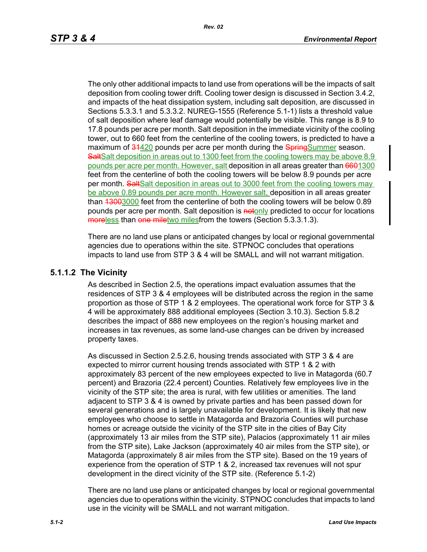The only other additional impacts to land use from operations will be the impacts of salt deposition from cooling tower drift. Cooling tower design is discussed in Section 3.4.2, and impacts of the heat dissipation system, including salt deposition, are discussed in Sections 5.3.3.1 and 5.3.3.2. NUREG-1555 (Reference 5.1-1) lists a threshold value of salt deposition where leaf damage would potentially be visible. This range is 8.9 to 17.8 pounds per acre per month. Salt deposition in the immediate vicinity of the cooling tower, out to 660 feet from the centerline of the cooling towers, is predicted to have a maximum of 34420 pounds per acre per month during the SpringSummer season. SaltSalt deposition in areas out to 1300 feet from the cooling towers may be above 8.9 pounds per acre per month. However, salt deposition in all areas greater than 6601300 feet from the centerline of both the cooling towers will be below 8.9 pounds per acre per month. Salt Salt deposition in areas out to 3000 feet from the cooling towers may be above 0.89 pounds per acre month. However salt, deposition in all areas greater than 43003000 feet from the centerline of both the cooling towers will be below 0.89 pounds per acre per month. Salt deposition is notonly predicted to occur for locations moreless than one miletwo milesfrom the towers (Section 5.3.3.1.3).

There are no land use plans or anticipated changes by local or regional governmental agencies due to operations within the site. STPNOC concludes that operations impacts to land use from STP 3 & 4 will be SMALL and will not warrant mitigation.

#### **5.1.1.2 The Vicinity**

As described in Section 2.5, the operations impact evaluation assumes that the residences of STP 3 & 4 employees will be distributed across the region in the same proportion as those of STP 1 & 2 employees. The operational work force for STP 3 & 4 will be approximately 888 additional employees (Section 3.10.3). Section 5.8.2 describes the impact of 888 new employees on the region's housing market and increases in tax revenues, as some land-use changes can be driven by increased property taxes.

As discussed in Section 2.5.2.6, housing trends associated with STP 3 & 4 are expected to mirror current housing trends associated with STP 1 & 2 with approximately 83 percent of the new employees expected to live in Matagorda (60.7 percent) and Brazoria (22.4 percent) Counties. Relatively few employees live in the vicinity of the STP site; the area is rural, with few utilities or amenities. The land adjacent to STP 3 & 4 is owned by private parties and has been passed down for several generations and is largely unavailable for development. It is likely that new employees who choose to settle in Matagorda and Brazoria Counties will purchase homes or acreage outside the vicinity of the STP site in the cities of Bay City (approximately 13 air miles from the STP site), Palacios (approximately 11 air miles from the STP site), Lake Jackson (approximately 40 air miles from the STP site), or Matagorda (approximately 8 air miles from the STP site). Based on the 19 years of experience from the operation of STP 1 & 2, increased tax revenues will not spur development in the direct vicinity of the STP site. (Reference 5.1-2)

There are no land use plans or anticipated changes by local or regional governmental agencies due to operations within the vicinity. STPNOC concludes that impacts to land use in the vicinity will be SMALL and not warrant mitigation.